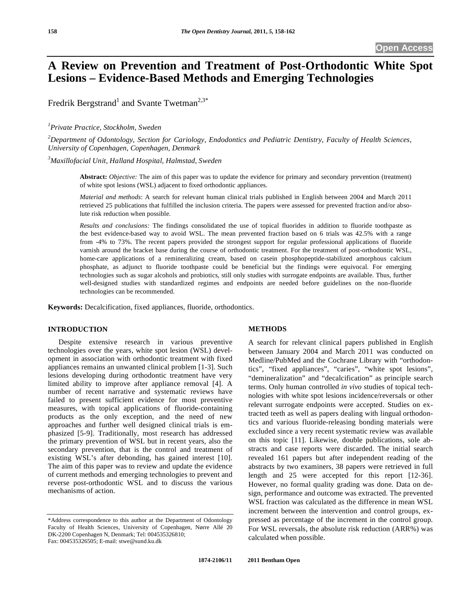# **A Review on Prevention and Treatment of Post-Orthodontic White Spot Lesions – Evidence-Based Methods and Emerging Technologies**

Fredrik Bergstrand<sup>1</sup> and Svante Twetman<sup>2,3\*</sup>

*1 Private Practice, Stockholm, Sweden* 

*2 Department of Odontology, Section for Cariology, Endodontics and Pediatric Dentistry, Faculty of Health Sciences, University of Copenhagen, Copenhagen, Denmark* 

*3 Maxillofacial Unit, Halland Hospital, Halmstad, Sweden* 

**Abstract:** *Objective:* The aim of this paper was to update the evidence for primary and secondary prevention (treatment) of white spot lesions (WSL) adjacent to fixed orthodontic appliances.

*Material and methods*: A search for relevant human clinical trials published in English between 2004 and March 2011 retrieved 25 publications that fulfilled the inclusion criteria. The papers were assessed for prevented fraction and/or absolute risk reduction when possible.

*Results and conclusions:* The findings consolidated the use of topical fluorides in addition to fluoride toothpaste as the best evidence-based way to avoid WSL. The mean prevented fraction based on 6 trials was 42.5% with a range from -4% to 73%. The recent papers provided the strongest support for regular professional applications of fluoride varnish around the bracket base during the course of orthodontic treatment. For the treatment of post-orthodontic WSL, home-care applications of a remineralizing cream, based on casein phosphopeptide-stabilized amorphous calcium phosphate, as adjunct to fluoride toothpaste could be beneficial but the findings were equivocal. For emerging technologies such as sugar alcohols and probiotics, still only studies with surrogate endpoints are available. Thus, further well-designed studies with standardized regimes and endpoints are needed before guidelines on the non-fluoride technologies can be recommended.

**Keywords:** Decalcification, fixed appliances, fluoride, orthodontics.

### **INTRODUCTION**

Despite extensive research in various preventive technologies over the years, white spot lesion (WSL) development in association with orthodontic treatment with fixed appliances remains an unwanted clinical problem [1-3]. Such lesions developing during orthodontic treatment have very limited ability to improve after appliance removal [4]. A number of recent narrative and systematic reviews have failed to present sufficient evidence for most preventive measures, with topical applications of fluoride-containing products as the only exception, and the need of new approaches and further well designed clinical trials is emphasized [5-9]. Traditionally, most research has addressed the primary prevention of WSL but in recent years, also the secondary prevention, that is the control and treatment of existing WSL's after debonding, has gained interest [10]. The aim of this paper was to review and update the evidence of current methods and emerging technologies to prevent and reverse post-orthodontic WSL and to discuss the various mechanisms of action.

#### **METHODS**

A search for relevant clinical papers published in English between January 2004 and March 2011 was conducted on Medline/PubMed and the Cochrane Library with "orthodontics", "fixed appliances", "caries", "white spot lesions", "demineralization" and "decalcification" as principle search terms. Only human controlled *in vivo* studies of topical technologies with white spot lesions incidence/reversals or other relevant surrogate endpoints were accepted. Studies on extracted teeth as well as papers dealing with lingual orthodontics and various fluoride-releasing bonding materials were excluded since a very recent systematic review was available on this topic [11]. Likewise, double publications, sole abstracts and case reports were discarded. The initial search revealed 161 papers but after independent reading of the abstracts by two examiners, 38 papers were retrieved in full length and 25 were accepted for this report [12-36]. However, no formal quality grading was done. Data on design, performance and outcome was extracted. The prevented WSL fraction was calculated as the difference in mean WSL increment between the intervention and control groups, expressed as percentage of the increment in the control group. For WSL reversals, the absolute risk reduction (ARR%) was calculated when possible.

<sup>\*</sup>Address correspondence to this author at the Department of Odontology Faculty of Health Sciences, University of Copenhagen, Nørre Allé 20 DK-2200 Copenhagen N, Denmark; Tel: 004535326810; Fax: 004535326505; E-mail: stwe@sund.ku.dk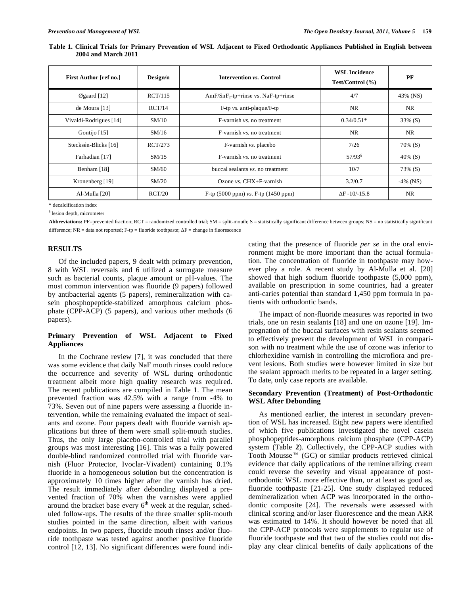| Table 1. Clinical Trials for Primary Prevention of WSL Adjacent to Fixed Orthodontic Appliances Published in English between |  |  |  |
|------------------------------------------------------------------------------------------------------------------------------|--|--|--|
| <b>2004 and March 2011</b>                                                                                                   |  |  |  |

| <b>First Author [ref no.]</b> | Design/n                           | <b>Intervention vs. Control</b>                         | <b>WSL</b> Incidence<br>Test/Control (%) | PF          |
|-------------------------------|------------------------------------|---------------------------------------------------------|------------------------------------------|-------------|
| $\oslash$ gaard [12]          | RCT/115                            | $AmF/SnF2-tp+rinse vs. NaF-tp+rinse$                    | 4/7                                      | 43% (NS)    |
| de Moura [13]                 | RCT/14                             | $F$ -tp <i>vs.</i> anti-plaque/ $F$ -tp                 | NR.                                      | <b>NR</b>   |
| Vivaldi-Rodrigues [14]        | SM/10                              | F-varnish <i>vs.</i> no treatment                       | $0.34/0.51*$                             | 33% (S)     |
| Gontijo [15]                  | SM/16                              | F-varnish vs. no treatment                              | <b>NR</b>                                | <b>NR</b>   |
| Stecksén-Blicks [16]          | RCT/273                            | F-varnish vs. placebo                                   | 7/26                                     | 70% (S)     |
| Farhadian [17]                | SM/15                              | F-varnish vs. no treatment                              | $57/93$ <sup>§</sup>                     | 40% (S)     |
| Benham [18]                   | SM/60                              | buccal sealants <i>vs.</i> no treatment                 | 10/7                                     | 73% (S)     |
| Kronenberg [19]               | Ozone $vs.$ CHX+F-varnish<br>SM/20 |                                                         | 3.2/0.7                                  | $-4\%$ (NS) |
| Al-Mulla [20]                 | RCT/20                             | F-tp $(5000 \text{ ppm})$ vs. F-tp $(1450 \text{ ppm})$ | $\Delta$ F-10/-15.8                      | <b>NR</b>   |

\* decalcification index

§ lesion depth, micrometer

Abbreviations: PF=prevented fraction; RCT = randomized controlled trial; SM = split-mouth; S = statistically significant difference between groups; NS = no statistically significant difference; NR = data not reported; F-tp = fluoride toothpaste;  $\Delta F$  = change in fluorescence

## **RESULTS**

Of the included papers, 9 dealt with primary prevention, 8 with WSL reversals and 6 utilized a surrogate measure such as bacterial counts, plaque amount or pH-values. The most common intervention was fluoride (9 papers) followed by antibacterial agents (5 papers), remineralization with casein phosphopeptide-stabilized amorphous calcium phosphate (CPP-ACP) (5 papers), and various other methods (6 papers).

## **Primary Prevention of WSL Adjacent to Fixed Appliances**

In the Cochrane review [7], it was concluded that there was some evidence that daily NaF mouth rinses could reduce the occurrence and severity of WSL during orthodontic treatment albeit more high quality research was required. The recent publications are compiled in Table **1**. The mean prevented fraction was 42.5% with a range from -4% to 73%. Seven out of nine papers were assessing a fluoride intervention, while the remaining evaluated the impact of sealants and ozone. Four papers dealt with fluoride varnish applications but three of them were small split-mouth studies. Thus, the only large placebo-controlled trial with parallel groups was most interesting [16]. This was a fully powered double-blind randomized controlled trial with fluoride varnish (Fluor Protector, Ivoclar-Vivadent) containing 0.1% fluoride in a homogeneous solution but the concentration is approximately 10 times higher after the varnish has dried. The result immediately after debonding displayed a prevented fraction of 70% when the varnishes were applied around the bracket base every  $6<sup>th</sup>$  week at the regular, scheduled follow-ups. The results of the three smaller split-mouth studies pointed in the same direction, albeit with various endpoints. In two papers, fluoride mouth rinses and/or fluoride toothpaste was tested against another positive fluoride control [12, 13]. No significant differences were found indicating that the presence of fluoride *per se* in the oral environment might be more important than the actual formulation. The concentration of fluoride in toothpaste may however play a role. A recent study by Al-Mulla et al. [20] showed that high sodium fluoride toothpaste (5,000 ppm), available on prescription in some countries, had a greater anti-caries potential than standard 1,450 ppm formula in patients with orthodontic bands.

The impact of non-fluoride measures was reported in two trials, one on resin sealants [18] and one on ozone [19]. Impregnation of the buccal surfaces with resin sealants seemed to effectively prevent the development of WSL in comparison with no treatment while the use of ozone was inferior to chlorhexidine varnish in controlling the microflora and prevent lesions. Both studies were however limited in size but the sealant approach merits to be repeated in a larger setting. To date, only case reports are available.

### **Secondary Prevention (Treatment) of Post-Orthodontic WSL After Debonding**

As mentioned earlier, the interest in secondary prevention of WSL has increased. Eight new papers were identified of which five publications investigated the novel casein phosphopeptides-amorphous calcium phosphate (CPP-ACP) system (Table **2**). Collectively, the CPP-ACP studies with Tooth Mousse<sup> $m$ </sup> (GC) or similar products retrieved clinical evidence that daily applications of the remineralizing cream could reverse the severity and visual appearance of postorthodontic WSL more effective than, or at least as good as, fluoride toothpaste [21-25]. One study displayed reduced demineralization when ACP was incorporated in the orthodontic composite [24]. The reversals were assessed with clinical scoring and/or laser fluorescence and the mean ARR was estimated to 14%. It should however be noted that all the CPP-ACP protocols were supplements to regular use of fluoride toothpaste and that two of the studies could not display any clear clinical benefits of daily applications of the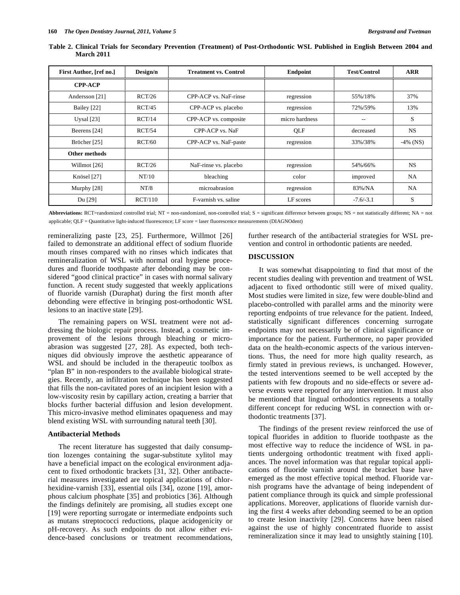| First Author, [ref no.]<br>Design/n |         | <b>Treatment vs. Control</b> | Endpoint       | <b>Test/Control</b> | <b>ARR</b>  |
|-------------------------------------|---------|------------------------------|----------------|---------------------|-------------|
| <b>CPP-ACP</b>                      |         |                              |                |                     |             |
| Andersson [21]                      | RCT/26  | CPP-ACP vs. NaF-rinse        | regression     | 55%/18%             | 37%         |
| Bailey [22]                         | RCT/45  | CPP-ACP vs. placebo          | regression     | 72%/59%             | 13%         |
| Uysal $[23]$                        | RCT/14  | CPP-ACP vs. composite        | micro hardness | --                  | S           |
| Beerens [24]                        | RCT/54  | CPP-ACP vs. NaF              | QLF            | decreased           | NS.         |
| Bröcher [25]                        | RCT/60  | CPP-ACP vs. NaF-paste        | regression     | 33%/38%             | $-4\%$ (NS) |
| Other methods                       |         |                              |                |                     |             |
| Willmot [26]                        | RCT/26  | NaF-rinse vs. placebo        | regression     | 54%/66%             | <b>NS</b>   |
| Knösel [27]                         | NT/10   | bleaching                    | color          | improved            | <b>NA</b>   |
| Murphy [28]                         | NT/8    | microabrasion                | regression     | 83%/NA              | <b>NA</b>   |
| Du [29]                             | RCT/110 | F-varnish vs. saline         | LF scores      | $-7.6/-3.1$         | S           |

**Table 2. Clinical Trials for Secondary Prevention (Treatment) of Post-Orthodontic WSL Published in English Between 2004 and March 2011** 

Abbreviations: RCT=randomized controlled trial; NT = non-randomized, non-controlled trial; S = significant difference between groups; NS = not statistically different; NA = not applicable; QLF = Quantitative light-induced fluorescence; LF score = laser fluorescence measurements (DIAGNOdent)

remineralizing paste [23, 25]. Furthermore, Willmot [26] failed to demonstrate an additional effect of sodium fluoride mouth rinses compared with no rinses which indicates that remineralization of WSL with normal oral hygiene procedures and fluoride toothpaste after debonding may be considered "good clinical practice" in cases with normal salivary function. A recent study suggested that weekly applications of fluoride varnish (Duraphat) during the first month after debonding were effective in bringing post-orthodontic WSL lesions to an inactive state [29].

The remaining papers on WSL treatment were not addressing the biologic repair process. Instead, a cosmetic improvement of the lesions through bleaching or microabrasion was suggested [27, 28]. As expected, both techniques did obviously improve the aesthetic appearance of WSL and should be included in the therapeutic toolbox as "plan B" in non-responders to the available biological strategies. Recently, an infiltration technique has been suggested that fills the non-cavitated pores of an incipient lesion with a low-viscosity resin by capillary action, creating a barrier that blocks further bacterial diffusion and lesion development. This micro-invasive method eliminates opaqueness and may blend existing WSL with surrounding natural teeth [30].

#### **Antibacterial Methods**

The recent literature has suggested that daily consumption lozenges containing the sugar-substitute xylitol may have a beneficial impact on the ecological environment adjacent to fixed orthodontic brackets [31, 32]. Other antibacterial measures investigated are topical applications of chlorhexidine-varnish [33], essential oils [34], ozone [19], amorphous calcium phosphate [35] and probiotics [36]. Although the findings definitely are promising, all studies except one [19] were reporting surrogate or intermediate endpoints such as mutans streptococci reductions, plaque acidogenicity or pH-recovery. As such endpoints do not allow either evidence-based conclusions or treatment recommendations,

further research of the antibacterial strategies for WSL prevention and control in orthodontic patients are needed.

#### **DISCUSSION**

It was somewhat disappointing to find that most of the recent studies dealing with prevention and treatment of WSL adjacent to fixed orthodontic still were of mixed quality. Most studies were limited in size, few were double-blind and placebo-controlled with parallel arms and the minority were reporting endpoints of true relevance for the patient. Indeed, statistically significant differences concerning surrogate endpoints may not necessarily be of clinical significance or importance for the patient. Furthermore, no paper provided data on the health-economic aspects of the various interventions. Thus, the need for more high quality research, as firmly stated in previous reviews, is unchanged. However, the tested interventions seemed to be well accepted by the patients with few dropouts and no side-effects or severe adverse events were reported for any intervention. It must also be mentioned that lingual orthodontics represents a totally different concept for reducing WSL in connection with orthodontic treatments [37].

The findings of the present review reinforced the use of topical fluorides in addition to fluoride toothpaste as the most effective way to reduce the incidence of WSL in patients undergoing orthodontic treatment with fixed appliances. The novel information was that regular topical applications of fluoride varnish around the bracket base have emerged as the most effective topical method. Fluoride varnish programs have the advantage of being independent of patient compliance through its quick and simple professional applications. Moreover, applications of fluoride varnish during the first 4 weeks after debonding seemed to be an option to create lesion inactivity [29]. Concerns have been raised against the use of highly concentrated fluoride to assist remineralization since it may lead to unsightly staining [10].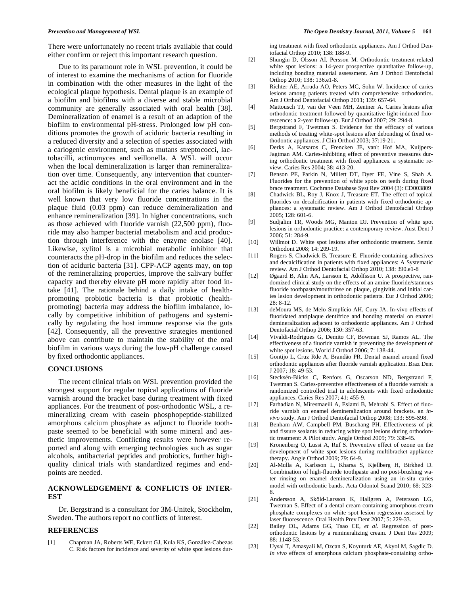There were unfortunately no recent trials available that could either confirm or reject this important research question.

Due to its paramount role in WSL prevention, it could be of interest to examine the mechanisms of action for fluoride in combination with the other measures in the light of the ecological plaque hypothesis. Dental plaque is an example of a biofilm and biofilms with a diverse and stable microbial community are generally associated with oral health [38]. Demineralization of enamel is a result of an adaption of the biofilm to environmental pH-stress. Prolonged low pH conditions promotes the growth of aciduric bacteria resulting in a reduced diversity and a selection of species associated with a cariogenic environment, such as mutans streptococci, lactobacilli, actinomyces and veillonella. A WSL will occur when the local demineralization is larger than remineralization over time. Consequently, any intervention that counteract the acidic conditions in the oral environment and in the oral biofilm is likely beneficial for the caries balance. It is well known that very low fluoride concentrations in the plaque fluid (0.03 ppm) can reduce demineralization and enhance remineralization [39]. In higher concentrations, such as those achieved with fluoride varnish (22,500 ppm), fluoride may also hamper bacterial metabolism and acid production through interference with the enzyme enolase [40]. Likewise, xylitol is a microbial metabolic inhibitor that counteracts the pH-drop in the biofilm and reduces the selection of aciduric bacteria [31]. CPP-ACP agents may, on top of the remineralizing properties, improve the salivary buffer capacity and thereby elevate pH more rapidly after food intake [41]. The rationale behind a daily intake of healthpromoting probiotic bacteria is that probiotic (healthpromoting) bacteria may address the biofilm imbalance, locally by competitive inhibition of pathogens and systemically by regulating the host immune response via the guts [42]. Consequently, all the preventive strategies mentioned above can contribute to maintain the stability of the oral biofilm in various ways during the low-pH challenge caused by fixed orthodontic appliances.

#### **CONCLUSIONS**

The recent clinical trials on WSL prevention provided the strongest support for regular topical applications of fluoride varnish around the bracket base during treatment with fixed appliances. For the treatment of post-orthodontic WSL, a remineralizing cream with casein phosphopeptide-stabilized amorphous calcium phosphate as adjunct to fluoride toothpaste seemed to be beneficial with some mineral and aesthetic improvements. Conflicting results were however reported and along with emerging technologies such as sugar alcohols, antibacterial peptides and probiotics, further highquality clinical trials with standardized regimes and endpoints are needed.

## **ACKNOWLEDGEMENT & CONFLICTS OF INTER-EST**

Dr. Bergstrand is a consultant for 3M-Unitek, Stockholm, Sweden. The authors report no conflicts of interest.

#### **REFERENCES**

[1] Chapman JA, Roberts WE, Eckert GJ, Kula KS, González-Cabezas C. Risk factors for incidence and severity of white spot lesions during treatment with fixed orthodontic appliances. Am J Orthod Dentofacial Orthop 2010; 138: 188-9.

- [2] Shungin D, Olsson AI, Persson M. Orthodontic treatment-related white spot lesions: a 14-year prospective quantitative follow-up, including bonding material assessment. Am J Orthod Dentofacial Orthop 2010; 138: 136.e1-8.
- [3] Richter AE, Arruda AO, Peters MC, Sohn W. Incidence of caries lesions among patients treated with comprehensive orthodontics. Am J Orthod Dentofacial Orthop 2011; 139: 657-64.
- [4] Mattousch TJ, van der Veen MH, Zentner A. Caries lesions after orthodontic treatment followed by quantitative light-induced fluorescence: a 2-year follow-up. Eur J Orthod 2007; 29: 294-8.
- [5] Bergstrand F, Twetman S. Evidence for the efficacy of various methods of treating white-spot lesions after debonding of fixed orthodontic appliances. J Clin Orthod 2003; 37:19-21.
- [6] Derks A, Katsaros C, Frencken JE, van't Hof MA, Kuijpers-Jagtman AM. Caries-inhibiting effect of preventive measures during orthodontic treatment with fixed appliances. a systematic review. Caries Res 2004; 38: 413-20.
- [7] Benson PE, Parkin N, Millett DT, Dyer FE, Vine S, Shah A. Fluorides for the prevention of white spots on teeth during fixed brace treatment. Cochrane Database Syst Rev 2004 (3): CD003809
- [8] Chadwick BL, Roy J, Knox J, Treasure ET. The effect of topical fluorides on decalcification in patients with fixed orthodontic appliances: a systematic review. Am J Orthod Dentofacial Orthop 2005; 128: 601-6.
- [9] Sudjalim TR, Woods MG, Manton DJ. Prevention of white spot lesions in orthodontic practice: a contemporary review. Aust Dent J 2006; 51: 284-9.
- [10] Willmot D. White spot lesions after orthodontic treatment. Semin Orthodont 2008; 14: 209-19.
- [11] Rogers S, Chadwick B, Treasure E. Fluoride-containing adhesives and decalcification in patients with fixed appliances: A Systematic review. Am J Orthod Dentofacial Orthop 2010; 138: 390.e1-8
- [12] Øgaard B, Alm AA, Larsson E, Adolfsson U. A prospective, randomized clinical study on the effects of an amine fluoride/stannous fluoride toothpaste/mouthrinse on plaque, gingivitis and initial caries lesion development in orthodontic patients. Eur J Orthod 2006; 28: 8-12.
- [13] deMoura MS, de Melo Simplício AH, Cury JA. In-vivo effects of fluoridated antiplaque dentifrice and bonding material on enamel demineralization adjacent to orthodontic appliances. Am J Orthod Dentofacial Orthop 2006; 130: 357-63.
- [14] Vivaldi-Rodrigues G, Demito CF, Bowman SJ, Ramos AL. The effectiveness of a fluoride varnish in preventing the development of white spot lesions. World J Orthod 2006; 7: 138-44.
- [15] Gontijo L, Cruz Rde A, Brandão PR. Dental enamel around fixed orthodontic appliances after fluoride varnish application. Braz Dent J 2007; 18: 49-53.
- [16] Stecksén-Blicks C, Renfors G, Oscarson ND, Bergstrand F, Twetman S. Caries-preventive effectiveness of a fluoride varnish: a randomized controlled trial in adolescents with fixed orthodontic appliances. Caries Res 2007; 41: 455-9.
- [17] Farhadian N, Miresmaeili A, Eslami B, Mehrabi S. Effect of fluoride varnish on enamel demineralization around brackets. an *invivo* study. Am J Orthod Dentofacial Orthop 2008; 133: S95-S98.
- [18] Benham AW, Campbell PM, Buschang PH. Effectiveness of pit and fissure sealants in reducing white spot lesions during orthodontic treatment: A Pilot study. Angle Orthod 2009; 79: 338-45.
- [19] Kronenberg O, Lussi A, Ruf S. Preventive effect of ozone on the development of white spot lesions during multibracket appliance therapy. Angle Orthod 2009; 79: 64-9.
- [20] Al-Mulla A, Karlsson L, Kharsa S, Kjellberg H, Birkhed D. Combination of high-fluoride toothpaste and no post-brushing water rinsing on enamel demineralization using an in-situ caries model with orthodontic bands. Acta Odontol Scand 2010; 68: 323- 8.
- [21] Andersson A, Sköld-Larsson K, Hallgren A, Petersson LG, Twetman S. Effect of a dental cream containing amorphous cream phosphate complexes on white spot lesion regression assessed by laser fluorescence. Oral Health Prev Dent 2007; 5: 229-33.
- [22] Bailey DL, Adams GG, Tsao CE, *et al*. Regression of postorthodontic lesions by a remineralizing cream. J Dent Res 2009; 88: 1148-53.
- [23] Uysal T, Amasyali M, Ozcan S, Koyuturk AE, Akyol M, Sagdic D. *In vivo* effects of amorphous calcium phosphate-containing ortho-